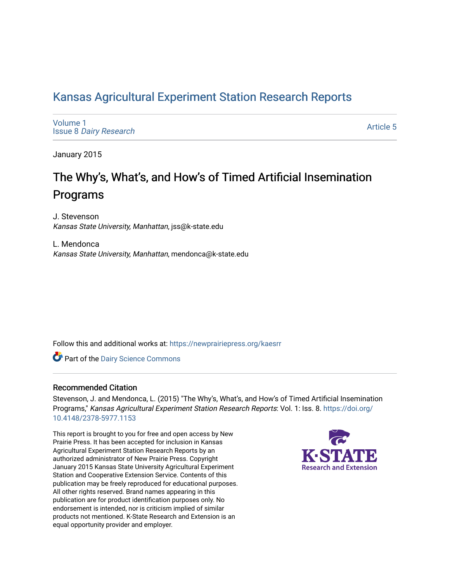# [Kansas Agricultural Experiment Station Research Reports](https://newprairiepress.org/kaesrr)

[Volume 1](https://newprairiepress.org/kaesrr/vol1) Issue 8 [Dairy Research](https://newprairiepress.org/kaesrr/vol1/iss8) 

[Article 5](https://newprairiepress.org/kaesrr/vol1/iss8/5) 

January 2015

# The Why's, What's, and How's of Timed Artificial Insemination Programs

J. Stevenson Kansas State University, Manhattan, jss@k-state.edu

L. Mendonca Kansas State University, Manhattan, mendonca@k-state.edu

Follow this and additional works at: [https://newprairiepress.org/kaesrr](https://newprairiepress.org/kaesrr?utm_source=newprairiepress.org%2Fkaesrr%2Fvol1%2Fiss8%2F5&utm_medium=PDF&utm_campaign=PDFCoverPages) 

Part of the [Dairy Science Commons](http://network.bepress.com/hgg/discipline/79?utm_source=newprairiepress.org%2Fkaesrr%2Fvol1%2Fiss8%2F5&utm_medium=PDF&utm_campaign=PDFCoverPages) 

#### Recommended Citation

Stevenson, J. and Mendonca, L. (2015) "The Why's, What's, and How's of Timed Artificial Insemination Programs," Kansas Agricultural Experiment Station Research Reports: Vol. 1: Iss. 8. [https://doi.org/](https://doi.org/10.4148/2378-5977.1153) [10.4148/2378-5977.1153](https://doi.org/10.4148/2378-5977.1153)

This report is brought to you for free and open access by New Prairie Press. It has been accepted for inclusion in Kansas Agricultural Experiment Station Research Reports by an authorized administrator of New Prairie Press. Copyright January 2015 Kansas State University Agricultural Experiment Station and Cooperative Extension Service. Contents of this publication may be freely reproduced for educational purposes. All other rights reserved. Brand names appearing in this publication are for product identification purposes only. No endorsement is intended, nor is criticism implied of similar products not mentioned. K-State Research and Extension is an equal opportunity provider and employer.

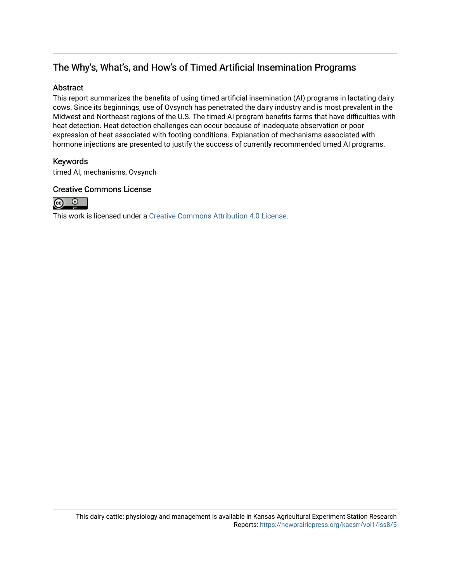# The Why's, What's, and How's of Timed Artificial Insemination Programs

#### Abstract

This report summarizes the benefits of using timed artificial insemination (AI) programs in lactating dairy cows. Since its beginnings, use of Ovsynch has penetrated the dairy industry and is most prevalent in the Midwest and Northeast regions of the U.S. The timed AI program benefits farms that have difficulties with heat detection. Heat detection challenges can occur because of inadequate observation or poor expression of heat associated with footing conditions. Explanation of mechanisms associated with hormone injections are presented to justify the success of currently recommended timed AI programs.

#### Keywords

timed AI, mechanisms, Ovsynch

#### Creative Commons License



This work is licensed under a [Creative Commons Attribution 4.0 License](https://creativecommons.org/licenses/by/4.0/).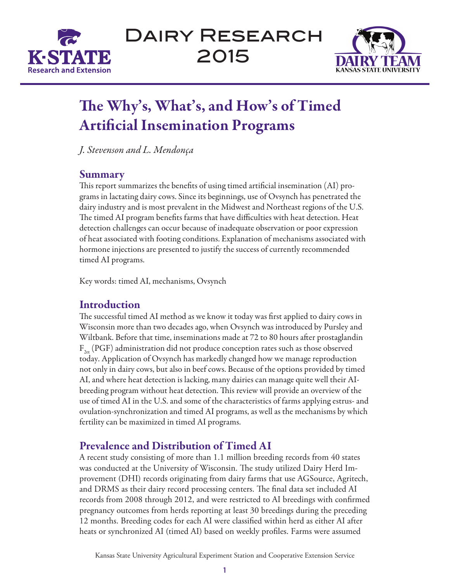

Dairy Research 2015



# The Why's, What's, and How's of Timed Artificial Insemination Programs

*J. Stevenson and L. Mendonça*

# Summary

This report summarizes the benefits of using timed artificial insemination (AI) programs in lactating dairy cows. Since its beginnings, use of Ovsynch has penetrated the dairy industry and is most prevalent in the Midwest and Northeast regions of the U.S. The timed AI program benefits farms that have difficulties with heat detection. Heat detection challenges can occur because of inadequate observation or poor expression of heat associated with footing conditions. Explanation of mechanisms associated with hormone injections are presented to justify the success of currently recommended timed AI programs.

Key words: timed AI, mechanisms, Ovsynch

# **Introduction**

The successful timed AI method as we know it today was first applied to dairy cows in Wisconsin more than two decades ago, when Ovsynch was introduced by Pursley and Wiltbank. Before that time, inseminations made at 72 to 80 hours after prostaglandin  $F_{2\alpha}$  (PGF) administration did not produce conception rates such as those observed today. Application of Ovsynch has markedly changed how we manage reproduction not only in dairy cows, but also in beef cows. Because of the options provided by timed AI, and where heat detection is lacking, many dairies can manage quite well their AIbreeding program without heat detection. This review will provide an overview of the use of timed AI in the U.S. and some of the characteristics of farms applying estrus- and ovulation-synchronization and timed AI programs, as well as the mechanisms by which fertility can be maximized in timed AI programs.

# Prevalence and Distribution of Timed AI

A recent study consisting of more than 1.1 million breeding records from 40 states was conducted at the University of Wisconsin. The study utilized Dairy Herd Improvement (DHI) records originating from dairy farms that use AGSource, Agritech, and DRMS as their dairy record processing centers. The final data set included AI records from 2008 through 2012, and were restricted to AI breedings with confirmed pregnancy outcomes from herds reporting at least 30 breedings during the preceding 12 months. Breeding codes for each AI were classified within herd as either AI after heats or synchronized AI (timed AI) based on weekly profiles. Farms were assumed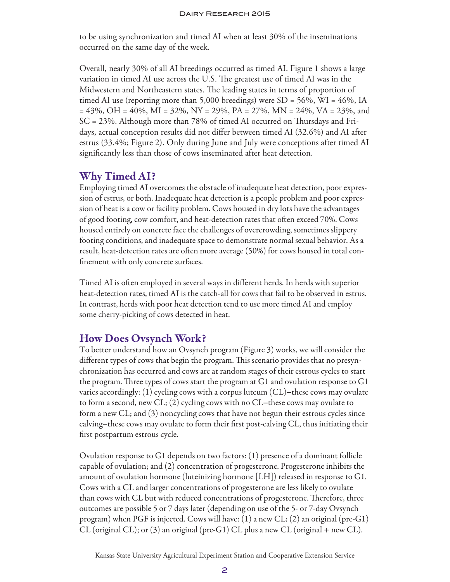to be using synchronization and timed AI when at least 30% of the inseminations occurred on the same day of the week.

Overall, nearly 30% of all AI breedings occurred as timed AI. Figure 1 shows a large variation in timed AI use across the U.S. The greatest use of timed AI was in the Midwestern and Northeastern states. The leading states in terms of proportion of timed AI use (reporting more than 5,000 breedings) were SD = 56%, WI = 46%, IA  $= 43\%, \text{OH} = 40\%, \text{MI} = 32\%, \text{NY} = 29\%, \text{PA} = 27\%, \text{MN} = 24\%, \text{VA} = 23\%, \text{and}$ SC = 23%. Although more than 78% of timed AI occurred on Thursdays and Fridays, actual conception results did not differ between timed AI (32.6%) and AI after estrus (33.4%; Figure 2). Only during June and July were conceptions after timed AI significantly less than those of cows inseminated after heat detection.

# Why Timed AI?

Employing timed AI overcomes the obstacle of inadequate heat detection, poor expression of estrus, or both. Inadequate heat detection is a people problem and poor expression of heat is a cow or facility problem. Cows housed in dry lots have the advantages of good footing, cow comfort, and heat-detection rates that often exceed 70%. Cows housed entirely on concrete face the challenges of overcrowding, sometimes slippery footing conditions, and inadequate space to demonstrate normal sexual behavior. As a result, heat-detection rates are often more average (50%) for cows housed in total confinement with only concrete surfaces.

Timed AI is often employed in several ways in different herds. In herds with superior heat-detection rates, timed AI is the catch-all for cows that fail to be observed in estrus. In contrast, herds with poor heat detection tend to use more timed AI and employ some cherry-picking of cows detected in heat.

# How Does Ovsynch Work?

To better understand how an Ovsynch program (Figure 3) works, we will consider the different types of cows that begin the program. This scenario provides that no presynchronization has occurred and cows are at random stages of their estrous cycles to start the program. Three types of cows start the program at G1 and ovulation response to G1 varies accordingly: (1) cycling cows with a corpus luteum (CL)-these cows may ovulate to form a second, new CL; (2) cycling cows with no CL-these cows may ovulate to form a new CL; and (3) noncycling cows that have not begun their estrous cycles since calving-these cows may ovulate to form their first post-calving CL, thus initiating their first postpartum estrous cycle.

Ovulation response to G1 depends on two factors: (1) presence of a dominant follicle capable of ovulation; and (2) concentration of progesterone. Progesterone inhibits the amount of ovulation hormone (luteinizing hormone [LH]) released in response to G1. Cows with a CL and larger concentrations of progesterone are less likely to ovulate than cows with CL but with reduced concentrations of progesterone. Therefore, three outcomes are possible 5 or 7 days later (depending on use of the 5- or 7-day Ovsynch program) when PGF is injected. Cows will have: (1) a new CL; (2) an original (pre-G1) CL (original CL); or (3) an original (pre-G1) CL plus a new CL (original + new CL).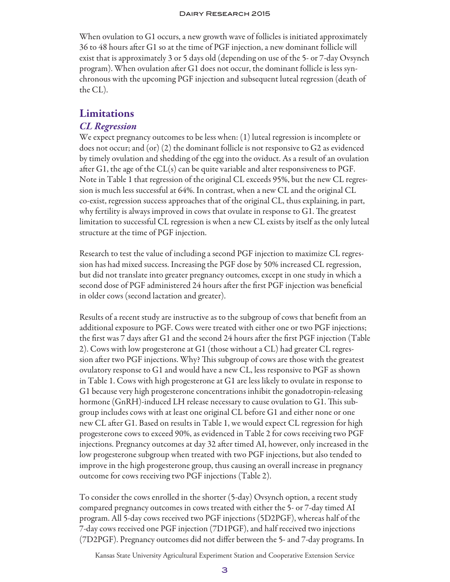#### Dairy Research 2015

When ovulation to G1 occurs, a new growth wave of follicles is initiated approximately 36 to 48 hours after G1 so at the time of PGF injection, a new dominant follicle will exist that is approximately 3 or 5 days old (depending on use of the 5- or 7-day Ovsynch program). When ovulation after G1 does not occur, the dominant follicle is less synchronous with the upcoming PGF injection and subsequent luteal regression (death of the CL).

### Limitations

#### *CL Regression*

We expect pregnancy outcomes to be less when: (1) luteal regression is incomplete or does not occur; and (or) (2) the dominant follicle is not responsive to G2 as evidenced by timely ovulation and shedding of the egg into the oviduct. As a result of an ovulation after G1, the age of the CL(s) can be quite variable and alter responsiveness to PGF. Note in Table 1 that regression of the original CL exceeds 95%, but the new CL regression is much less successful at 64%. In contrast, when a new CL and the original CL co-exist, regression success approaches that of the original CL, thus explaining, in part, why fertility is always improved in cows that ovulate in response to G1. The greatest limitation to successful CL regression is when a new CL exists by itself as the only luteal structure at the time of PGF injection.

Research to test the value of including a second PGF injection to maximize CL regression has had mixed success. Increasing the PGF dose by 50% increased CL regression, but did not translate into greater pregnancy outcomes, except in one study in which a second dose of PGF administered 24 hours after the first PGF injection was beneficial in older cows (second lactation and greater).

Results of a recent study are instructive as to the subgroup of cows that benefit from an additional exposure to PGF. Cows were treated with either one or two PGF injections; the first was 7 days after G1 and the second 24 hours after the first PGF injection (Table 2). Cows with low progesterone at G1 (those without a CL) had greater CL regression after two PGF injections. Why? This subgroup of cows are those with the greatest ovulatory response to G1 and would have a new CL, less responsive to PGF as shown in Table 1. Cows with high progesterone at G1 are less likely to ovulate in response to G1 because very high progesterone concentrations inhibit the gonadotropin-releasing hormone (GnRH)-induced LH release necessary to cause ovulation to G1. This subgroup includes cows with at least one original CL before G1 and either none or one new CL after G1. Based on results in Table 1, we would expect CL regression for high progesterone cows to exceed 90%, as evidenced in Table 2 for cows receiving two PGF injections. Pregnancy outcomes at day 32 after timed AI, however, only increased in the low progesterone subgroup when treated with two PGF injections, but also tended to improve in the high progesterone group, thus causing an overall increase in pregnancy outcome for cows receiving two PGF injections (Table 2).

To consider the cows enrolled in the shorter (5-day) Ovsynch option, a recent study compared pregnancy outcomes in cows treated with either the 5- or 7-day timed AI program. All 5-day cows received two PGF injections (5D2PGF), whereas half of the 7-day cows received one PGF injection (7D1PGF), and half received two injections (7D2PGF). Pregnancy outcomes did not differ between the 5- and 7-day programs. In

Kansas State University Agricultural Experiment Station and Cooperative Extension Service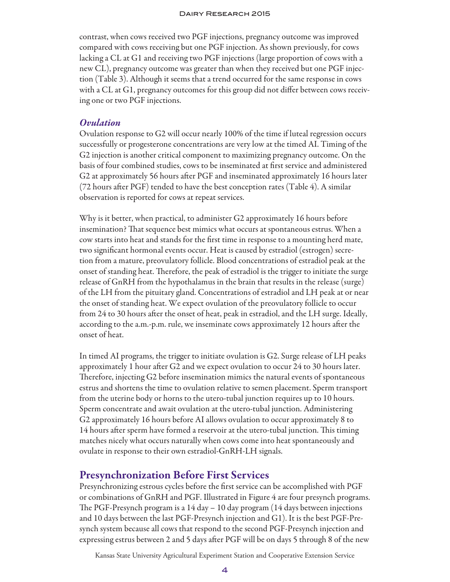contrast, when cows received two PGF injections, pregnancy outcome was improved compared with cows receiving but one PGF injection. As shown previously, for cows lacking a CL at G1 and receiving two PGF injections (large proportion of cows with a new CL), pregnancy outcome was greater than when they received but one PGF injection (Table 3). Although it seems that a trend occurred for the same response in cows with a CL at G1, pregnancy outcomes for this group did not differ between cows receiving one or two PGF injections.

#### *Ovulation*

Ovulation response to G2 will occur nearly 100% of the time if luteal regression occurs successfully or progesterone concentrations are very low at the timed AI. Timing of the G2 injection is another critical component to maximizing pregnancy outcome. On the basis of four combined studies, cows to be inseminated at first service and administered G2 at approximately 56 hours after PGF and inseminated approximately 16 hours later (72 hours after PGF) tended to have the best conception rates (Table 4). A similar observation is reported for cows at repeat services.

Why is it better, when practical, to administer G2 approximately 16 hours before insemination? That sequence best mimics what occurs at spontaneous estrus. When a cow starts into heat and stands for the first time in response to a mounting herd mate, two significant hormonal events occur. Heat is caused by estradiol (estrogen) secretion from a mature, preovulatory follicle. Blood concentrations of estradiol peak at the onset of standing heat. Therefore, the peak of estradiol is the trigger to initiate the surge release of GnRH from the hypothalamus in the brain that results in the release (surge) of the LH from the pituitary gland. Concentrations of estradiol and LH peak at or near the onset of standing heat. We expect ovulation of the preovulatory follicle to occur from 24 to 30 hours after the onset of heat, peak in estradiol, and the LH surge. Ideally, according to the a.m.-p.m. rule, we inseminate cows approximately 12 hours after the onset of heat.

In timed AI programs, the trigger to initiate ovulation is G2. Surge release of LH peaks approximately 1 hour after G2 and we expect ovulation to occur 24 to 30 hours later. Therefore, injecting G2 before insemination mimics the natural events of spontaneous estrus and shortens the time to ovulation relative to semen placement. Sperm transport from the uterine body or horns to the utero-tubal junction requires up to 10 hours. Sperm concentrate and await ovulation at the utero-tubal junction. Administering G2 approximately 16 hours before AI allows ovulation to occur approximately 8 to 14 hours after sperm have formed a reservoir at the utero-tubal junction. This timing matches nicely what occurs naturally when cows come into heat spontaneously and ovulate in response to their own estradiol-GnRH-LH signals.

#### Presynchronization Before First Services

Presynchronizing estrous cycles before the first service can be accomplished with PGF or combinations of GnRH and PGF. Illustrated in Figure 4 are four presynch programs. The PGF-Presynch program is a 14 day – 10 day program (14 days between injections and 10 days between the last PGF-Presynch injection and G1). It is the best PGF-Presynch system because all cows that respond to the second PGF-Presynch injection and expressing estrus between 2 and 5 days after PGF will be on days 5 through 8 of the new

Kansas State University Agricultural Experiment Station and Cooperative Extension Service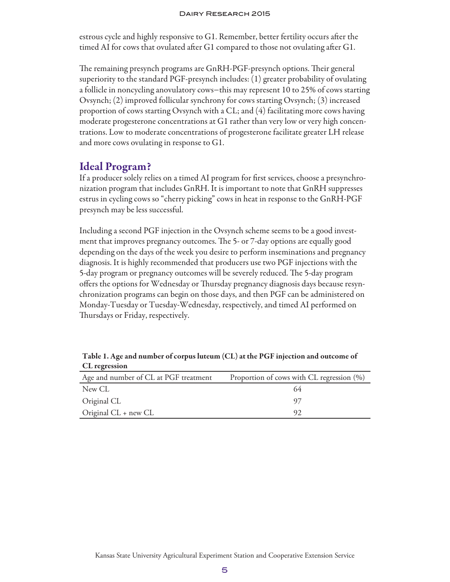estrous cycle and highly responsive to G1. Remember, better fertility occurs after the timed AI for cows that ovulated after G1 compared to those not ovulating after G1.

The remaining presynch programs are GnRH-PGF-presynch options. Their general superiority to the standard PGF-presynch includes: (1) greater probability of ovulating a follicle in noncycling anovulatory cows−this may represent 10 to 25% of cows starting Ovsynch; (2) improved follicular synchrony for cows starting Ovsynch; (3) increased proportion of cows starting Ovsynch with a CL; and (4) facilitating more cows having moderate progesterone concentrations at G1 rather than very low or very high concentrations. Low to moderate concentrations of progesterone facilitate greater LH release and more cows ovulating in response to G1.

## Ideal Program?

If a producer solely relies on a timed AI program for first services, choose a presynchronization program that includes GnRH. It is important to note that GnRH suppresses estrus in cycling cows so "cherry picking" cows in heat in response to the GnRH-PGF presynch may be less successful.

Including a second PGF injection in the Ovsynch scheme seems to be a good investment that improves pregnancy outcomes. The 5- or 7-day options are equally good depending on the days of the week you desire to perform inseminations and pregnancy diagnosis. It is highly recommended that producers use two PGF injections with the 5-day program or pregnancy outcomes will be severely reduced. The 5-day program offers the options for Wednesday or Thursday pregnancy diagnosis days because resynchronization programs can begin on those days, and then PGF can be administered on Monday-Tuesday or Tuesday-Wednesday, respectively, and timed AI performed on Thursdays or Friday, respectively.

| $\sim$ $\sim$ $\sim$ $\sim$ $\sim$ $\sim$ $\sim$ $\sim$ |                                              |
|---------------------------------------------------------|----------------------------------------------|
| Age and number of CL at PGF treatment                   | Proportion of cows with CL regression $(\%)$ |
| New CL                                                  | 64                                           |
| Original CL                                             |                                              |
| Original CL + new CL                                    | 92                                           |

Table 1. Age and number of corpus luteum (CL) at the PGF injection and outcome of CL regression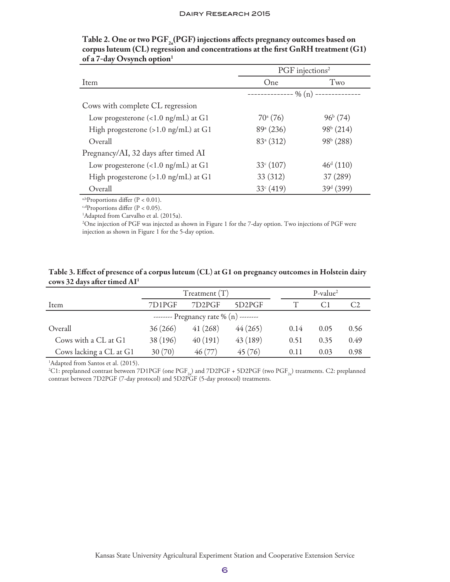|                                                | PGF injections <sup>2</sup>   |                       |
|------------------------------------------------|-------------------------------|-----------------------|
| Item                                           | One                           | Two                   |
|                                                | ------------ % (n) ---------- |                       |
| Cows with complete CL regression               |                               |                       |
| Low progesterone $(<1.0$ ng/mL) at G1          | $70^{\circ}$ (76)             | $96^{\rm b}$ (74)     |
| High progesterone $(>1.0 \text{ ng/mL})$ at G1 | 89 <sup>a</sup> (236)         | $98b$ (214)           |
| Overall                                        | 83 <sup>a</sup> (312)         | 98 <sup>b</sup> (288) |
| Pregnancy/AI, 32 days after timed AI           |                               |                       |
| Low progesterone $(<1.0$ ng/mL) at G1          | 33 <sup>c</sup> (107)         | $46^{\rm d}$ (110)    |
| High progesterone $(>1.0 \text{ ng/mL})$ at G1 | 33 (312)                      | 37 (289)              |
| Overall                                        | 33 <sup>c</sup> (419)         | 39 <sup>d</sup> (399) |

| Table 2. One or two $\text{PGF}_{2}(PGF)$ injections affects pregnancy outcomes based on |
|------------------------------------------------------------------------------------------|
| corpus luteum (CL) regression and concentrations at the first GnRH treatment (G1)        |
| of a 7-day Ovsynch option <sup>1</sup>                                                   |

a,bProportions differ (P < 0.01).

 $c, d$ Proportions differ (P < 0.05).

<sup>1</sup>Adapted from Carvalho et al. (2015a).

2 One injection of PGF was injected as shown in Figure 1 for the 7-day option. Two injections of PGF were injection as shown in Figure 1 for the 5-day option.

| Table 3. Effect of presence of a corpus luteum (CL) at G1 on pregnancy outcomes in Holstein dairy |  |
|---------------------------------------------------------------------------------------------------|--|
| cows 32 days after timed $AI1$                                                                    |  |

|                                          | $T$ reatment $(T)$ |                                 |                     | $P-value2$ |      |      |
|------------------------------------------|--------------------|---------------------------------|---------------------|------------|------|------|
| Item                                     | 7D1PGF             | 7D <sub>2</sub> P <sub>GF</sub> | 5D <sub>2</sub> PGF |            |      |      |
| -------- Pregnancy rate % $(n)$ -------- |                    |                                 |                     |            |      |      |
| Overall                                  | 36(266)            | 41(268)                         | 44(265)             | 0.14       | 0.05 | 0.56 |
| Cows with a CL at G1                     | 38 (196)           | 40(191)                         | 43(189)             | 0.51       | 0.35 | 0.49 |
| Cows lacking a CL at G1                  | 30(70)             | 46(77)                          | 45(76)              | 0.11       | 0.03 | 0.98 |

<sup>1</sup>Adapted from Santos et al. (2015).

<sup>2</sup>C1: preplanned contrast between 7D1PGF (one PGF<sub>2a</sub>) and 7D2PGF + 5D2PGF (two PGF<sub>2a</sub>) treatments. C2: preplanned contrast between 7D2PGF (7-day protocol) and 5D2PGF (5-day protocol) treatments.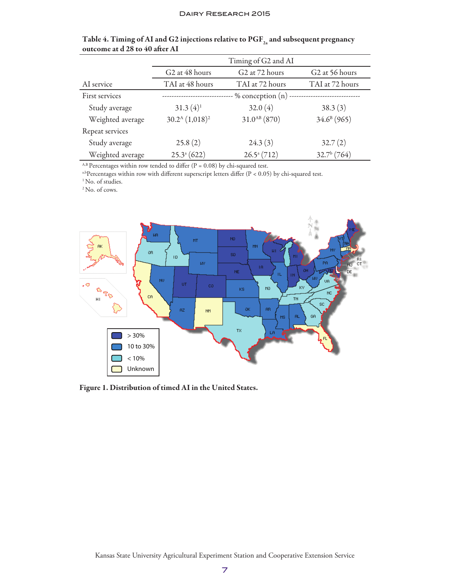|                  | Timing of G2 and AI        |                                        |                            |
|------------------|----------------------------|----------------------------------------|----------------------------|
|                  | G <sub>2</sub> at 48 hours | G <sub>2</sub> at 7 <sub>2</sub> hours | G <sub>2</sub> at 56 hours |
| AI service       | TAI at 48 hours            | TAI at 72 hours                        | TAI at 72 hours            |
| First services   |                            | $\cdot$ % conception $(n)$             |                            |
| Study average    | $31.3(4)^1$                | 32.0(4)                                | 38.3(3)                    |
| Weighted average | $30.2^{\rm A}$ $(1,018)^2$ | $31.0^{AB}$ (870)                      | $34.6^{\circ}$ (965)       |
| Repeat services  |                            |                                        |                            |
| Study average    | 25.8(2)                    | 24.3(3)                                | 32.7(2)                    |
| Weighted average | $25.3^{\mathrm{a}}(622)$   | $26.5^{\mathrm{a}}(712)$               | $32.7b$ (764)              |

| Table 4. Timing of AI and G2 injections relative to $\mathrm{PGF}_{2}$ and subsequent pregnancy |  |
|-------------------------------------------------------------------------------------------------|--|
| outcome at d 28 to 40 after AI                                                                  |  |

 $^{\rm A,B}$  Percentages within row tended to differ (P = 0.08) by chi-squared test.

a,bPercentages within row with different superscript letters differ (P < 0.05) by chi-squared test.

<sup>1</sup> No. of studies.

2 No. of cows.



Figure 1. Distribution of timed AI in the United States.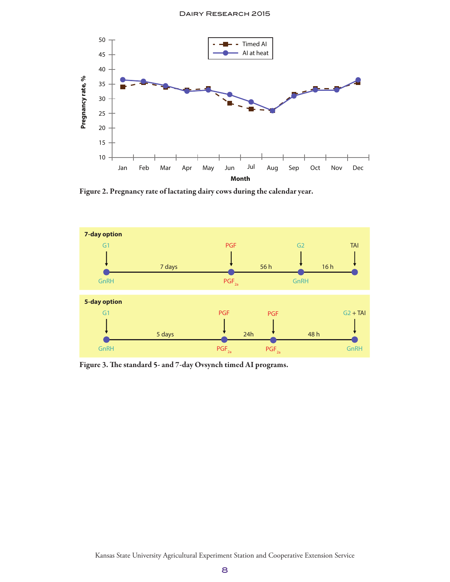

Figure 2. Pregnancy rate of lactating dairy cows during the calendar year.



Figure 3. The standard 5- and 7-day Ovsynch timed AI programs.